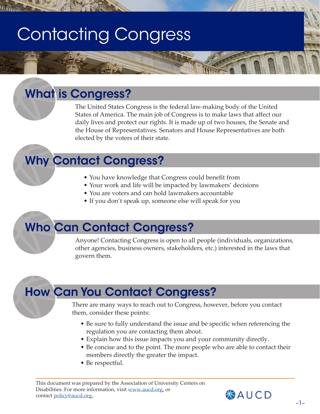# Contacting Congress

# What is Congress?

The United States Congress is the federal law-making body of the United States of America. The main job of Congress is to make laws that affect our daily lives and protect our rights. It is made up of two houses, the Senate and the House of Representatives. Senators and House Representatives are both elected by the voters of their state.

### Why Contact Congress?

• You have knowledge that Congress could benefit from

**REAL PROPERTY** 

- Your work and life will be impacted by lawmakers' decisions
- You are voters and can hold lawmakers accountable
- If you don't speak up, someone else will speak for you

### Who Can Contact Congress?

Anyone! Contacting Congress is open to all people (individuals, organizations, other agencies, business owners, stakeholders, etc.) interested in the laws that govern them.

# How Can You Contact Congress?

There are many ways to reach out to Congress, however, before you contact them, consider these points:

- Be sure to fully understand the issue and be specific when referencing the regulation you are contacting them about.
- Explain how this issue impacts you and your community directly.
- Be concise and to the point. The more people who are able to contact their members directly the greater the impact.
- Be respectful.